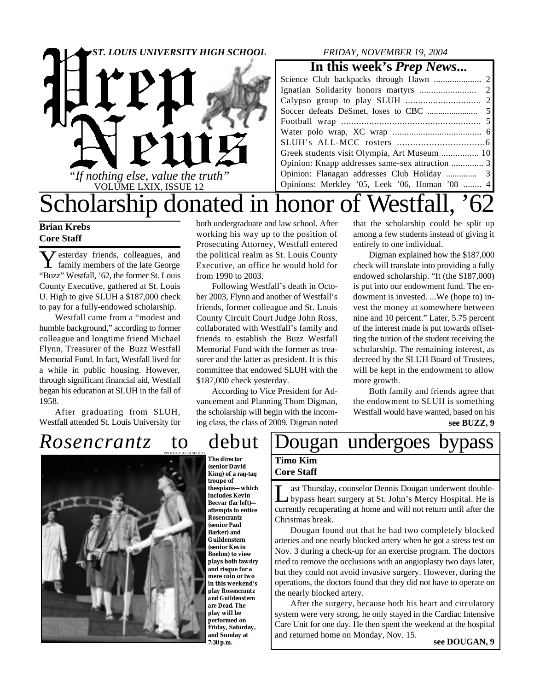

### *FRIDAY, NOVEMBER 19, 2004*

### **In this week's** *Prep News***...**

| Greek students visit Olympia, Art Museum  10    |
|-------------------------------------------------|
| Opinion: Knapp addresses same-sex attraction  3 |
|                                                 |
| Opinions: Merkley '05, Leek '06, Homan '08  4   |
|                                                 |

## Scholarship donated in honor of Westfall, '62 both undergraduate and law school. After

working his way up to the position of Prosecuting Attorney, Westfall entered the political realm as St. Louis County Executive, an office he would hold for

Following Westfall's death in October 2003, Flynn and another of Westfall's friends, former colleague and St. Louis County Circuit Court Judge John Ross, collaborated with Westfall's family and friends to establish the Buzz Westfall Memorial Fund with the former as treasurer and the latter as president. It is this committee that endowed SLUH with the

According to Vice President for Advancement and Planning Thom Digman, the scholarship will begin with the incoming class, the class of 2009. Digman noted

### **Brian Krebs Core Staff**

**Y** esterday friends, colleagues, and<br>family members of the late George family members of the late George "Buzz" Westfall, '62, the former St. Louis County Executive, gathered at St. Louis U. High to give SLUH a \$187,000 check to pay for a fully-endowed scholarship.

Westfall came from a "modest and humble background," according to former colleague and longtime friend Michael Flynn, Treasurer of the Buzz Westfall Memorial Fund. In fact, Westfall lived for a while in public housing. However, through significant financial aid, Westfall began his education at SLUH in the fall of 1958.

After graduating from SLUH, Westfall attended St. Louis University for

PHOTO BY ALEX SCIUTO



\$187,000 check yesterday.

from 1990 to 2003.

**The director (senior David King) of a rag-tag troupe of thespians—which includes Kevin Becvar (far left) attempts to entice Rosencrantz (senior Paul Barker) and Guildenstern (senior Kevin Boehm) to view plays both tawdry and risque for a mere coin or two in this weekend's play** *Rosencrantz and Guildenstern are Dead***. The play will be performed on Friday, Saturday, and Sunday at 7:30 p.m.**

#### that the scholarship could be split up among a few students instead of giving it entirely to one individual.

Digman explained how the \$187,000 check will translate into providing a fully endowed scholarship. "It (the \$187,000) is put into our endowment fund. The endowment is invested. ...We (hope to) invest the money at somewhere between nine and 10 percent." Later, 5.75 percent of the interest made is put towards offsetting the tuition of the student receiving the scholarship. The remaining interest, as decreed by the SLUH Board of Trustees, will be kept in the endowment to allow more growth.

Both family and friends agree that the endowment to SLUH is something Westfall would have wanted, based on his **see BUZZ, 9**

### *Rosencrantz* to debut Dougan undergoes bypass **Timo Kim Core Staff**

L ast Thursday, counselor Dennis Dougan underwent doublebypass heart surgery at St. John's Mercy Hospital. He is currently recuperating at home and will not return until after the Christmas break.

Dougan found out that he had two completely blocked arteries and one nearly blocked artery when he got a stress test on Nov. 3 during a check-up for an exercise program. The doctors tried to remove the occlusions with an angioplasty two days later, but they could not avoid invasive surgery. However, during the operations, the doctors found that they did not have to operate on the nearly blocked artery.

**see DOUGAN, 9** After the surgery, because both his heart and circulatory system were very strong, he only stayed in the Cardiac Intensive Care Unit for one day. He then spent the weekend at the hospital and returned home on Monday, Nov. 15.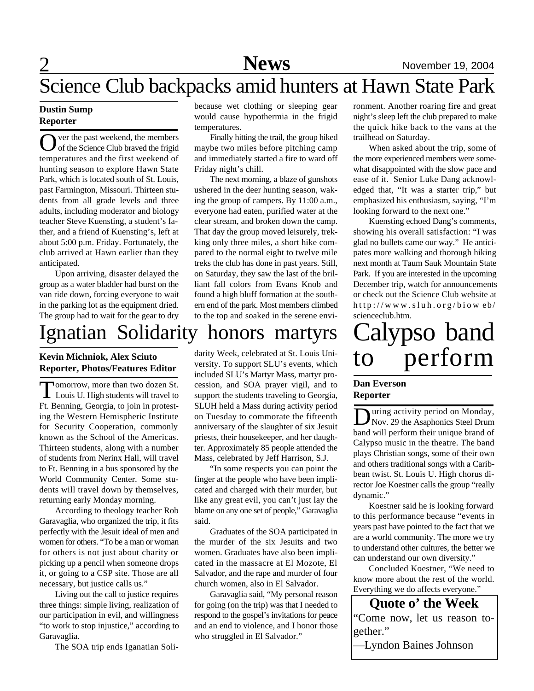# 2 Science Club backpacks amid hunters at Hawn State Park

#### **Dustin Sump Reporter**

O ver the past weekend, the members<br>
of the Science Club braved the frigid ver the past weekend, the members temperatures and the first weekend of hunting season to explore Hawn State Park, which is located south of St. Louis, past Farmington, Missouri. Thirteen students from all grade levels and three adults, including moderator and biology teacher Steve Kuensting, a student's father, and a friend of Kuensting's, left at about 5:00 p.m. Friday. Fortunately, the club arrived at Hawn earlier than they anticipated.

Upon arriving, disaster delayed the group as a water bladder had burst on the van ride down, forcing everyone to wait in the parking lot as the equipment dried. The group had to wait for the gear to dry

# Ignatian Solidarity honors martyrs

#### **Kevin Michniok, Alex Sciuto Reporter, Photos/Features Editor**

**T** omorrow, more than two dozen St.<br>Louis U. High students will travel to omorrow, more than two dozen St. Ft. Benning, Georgia, to join in protesting the Western Hemispheric Institute for Security Cooperation, commonly known as the School of the Americas. Thirteen students, along with a number of students from Nerinx Hall, will travel to Ft. Benning in a bus sponsored by the World Community Center. Some students will travel down by themselves, returning early Monday morning.

According to theology teacher Rob Garavaglia, who organized the trip, it fits perfectly with the Jesuit ideal of men and women for others. "To be a man or woman for others is not just about charity or picking up a pencil when someone drops it, or going to a CSP site. Those are all necessary, but justice calls us."

Living out the call to justice requires three things: simple living, realization of our participation in evil, and willingness "to work to stop injustice," according to Garavaglia.

The SOA trip ends Iganatian Soli-

because wet clothing or sleeping gear would cause hypothermia in the frigid temperatures.

Finally hitting the trail, the group hiked maybe two miles before pitching camp and immediately started a fire to ward off Friday night's chill.

The next morning, a blaze of gunshots ushered in the deer hunting season, waking the group of campers. By 11:00 a.m., everyone had eaten, purified water at the clear stream, and broken down the camp. That day the group moved leisurely, trekking only three miles, a short hike compared to the normal eight to twelve mile treks the club has done in past years. Still, on Saturday, they saw the last of the brilliant fall colors from Evans Knob and found a high bluff formation at the southern end of the park. Most members climbed to the top and soaked in the serene envi-

darity Week, celebrated at St. Louis University. To support SLU's events, which included SLU's Martyr Mass, martyr procession, and SOA prayer vigil, and to support the students traveling to Georgia, SLUH held a Mass during activity period on Tuesday to commorate the fifteenth anniversary of the slaughter of six Jesuit priests, their housekeeper, and her daughter. Approximately 85 people attended the Mass, celebrated by Jeff Harrison, S.J.

"In some respects you can point the finger at the people who have been implicated and charged with their murder, but like any great evil, you can't just lay the blame on any one set of people," Garavaglia said.

Graduates of the SOA participated in the murder of the six Jesuits and two women. Graduates have also been implicated in the massacre at El Mozote, El Salvador, and the rape and murder of four church women, also in El Salvador.

Garavaglia said, "My personal reason for going (on the trip) was that I needed to respond to the gospel's invitations for peace and an end to violence, and I honor those who struggled in El Salvador."

ronment. Another roaring fire and great night's sleep left the club prepared to make the quick hike back to the vans at the trailhead on Saturday.

When asked about the trip, some of the more experienced members were somewhat disappointed with the slow pace and ease of it. Senior Luke Dang acknowledged that, "It was a starter trip," but emphasized his enthusiasm, saying, "I'm looking forward to the next one."

Kuensting echoed Dang's comments, showing his overall satisfaction: "I was glad no bullets came our way." He anticipates more walking and thorough hiking next month at Taum Sauk Mountain State Park. If you are interested in the upcoming December trip, watch for announcements or check out the Science Club website at http://www.sluh.org/biow eb/ scienceclub.htm.

# alypso band to perform

#### **Dan Everson Reporter**

U uring activity period on Monday,<br>Nov. 29 the Asaphonics Steel Drum uring activity period on Monday, band will perform their unique brand of Calypso music in the theatre. The band plays Christian songs, some of their own and others traditional songs with a Caribbean twist. St. Louis U. High chorus director Joe Koestner calls the group "really dynamic."

Koestner said he is looking forward to this performance because "events in years past have pointed to the fact that we are a world community. The more we try to understand other cultures, the better we can understand our own diversity."

Concluded Koestner, "We need to know more about the rest of the world. Everything we do affects everyone."

**Quote o' the Week** "Come now, let us reason together."

—Lyndon Baines Johnson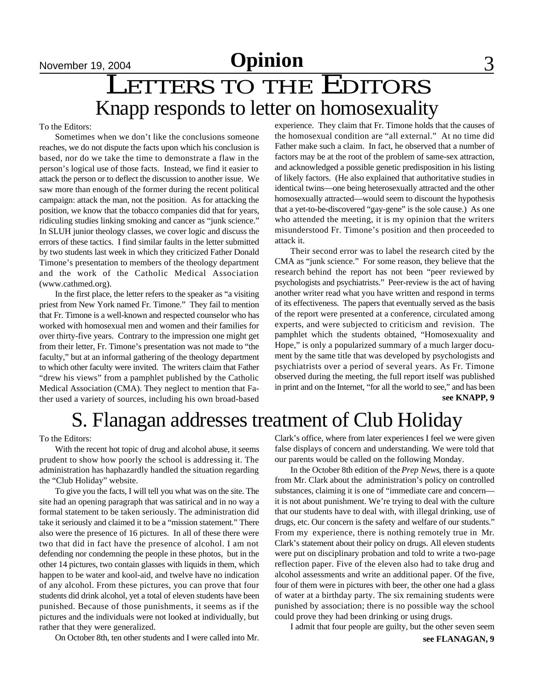# LETTERS TO THE EDITORS Knapp responds to letter on homosexuality

To the Editors:

Sometimes when we don't like the conclusions someone reaches, we do not dispute the facts upon which his conclusion is based, nor do we take the time to demonstrate a flaw in the person's logical use of those facts. Instead, we find it easier to attack the person or to deflect the discussion to another issue. We saw more than enough of the former during the recent political campaign: attack the man, not the position. As for attacking the position, we know that the tobacco companies did that for years, ridiculing studies linking smoking and cancer as "junk science." In SLUH junior theology classes, we cover logic and discuss the errors of these tactics. I find similar faults in the letter submitted by two students last week in which they criticized Father Donald Timone's presentation to members of the theology department and the work of the Catholic Medical Association (www.cathmed.org).

In the first place, the letter refers to the speaker as "a visiting priest from New York named Fr. Timone." They fail to mention that Fr. Timone is a well-known and respected counselor who has worked with homosexual men and women and their families for over thirty-five years. Contrary to the impression one might get from their letter, Fr. Timone's presentation was not made to "the faculty," but at an informal gathering of the theology department to which other faculty were invited. The writers claim that Father "drew his views" from a pamphlet published by the Catholic Medical Association (CMA). They neglect to mention that Father used a variety of sources, including his own broad-based **see KNAPP**, 9

experience. They claim that Fr. Timone holds that the causes of the homosexual condition are "all external." At no time did Father make such a claim. In fact, he observed that a number of factors may be at the root of the problem of same-sex attraction, and acknowledged a possible genetic predisposition in his listing of likely factors. (He also explained that authoritative studies in identical twins—one being heterosexually attracted and the other homosexually attracted—would seem to discount the hypothesis that a yet-to-be-discovered "gay-gene" is the sole cause.) As one who attended the meeting, it is my opinion that the writers misunderstood Fr. Timone's position and then proceeded to attack it.

Their second error was to label the research cited by the CMA as "junk science." For some reason, they believe that the research behind the report has not been "peer reviewed by psychologists and psychiatrists." Peer-review is the act of having another writer read what you have written and respond in terms of its effectiveness. The papers that eventually served as the basis of the report were presented at a conference, circulated among experts, and were subjected to criticism and revision. The pamphlet which the students obtained, "Homosexuality and Hope," is only a popularized summary of a much larger document by the same title that was developed by psychologists and psychiatrists over a period of several years. As Fr. Timone observed during the meeting, the full report itself was published in print and on the Internet, "for all the world to see," and has been

# S. Flanagan addresses treatment of Club Holiday

To the Editors:

With the recent hot topic of drug and alcohol abuse, it seems prudent to show how poorly the school is addressing it. The administration has haphazardly handled the situation regarding the "Club Holiday" website.

To give you the facts, I will tell you what was on the site. The site had an opening paragraph that was satirical and in no way a formal statement to be taken seriously. The administration did take it seriously and claimed it to be a "mission statement." There also were the presence of 16 pictures. In all of these there were two that did in fact have the presence of alcohol. I am not defending nor condemning the people in these photos, but in the other 14 pictures, two contain glasses with liquids in them, which happen to be water and kool-aid, and twelve have no indication of any alcohol. From these pictures, you can prove that four students did drink alcohol, yet a total of eleven students have been punished. Because of those punishments, it seems as if the pictures and the individuals were not looked at individually, but rather that they were generalized.

On October 8th, ten other students and I were called into Mr.

Clark's office, where from later experiences I feel we were given false displays of concern and understanding. We were told that our parents would be called on the following Monday.

In the October 8th edition of the *Prep News*, there is a quote from Mr. Clark about the administration's policy on controlled substances, claiming it is one of "immediate care and concern it is not about punishment. We're trying to deal with the culture that our students have to deal with, with illegal drinking, use of drugs, etc. Our concern is the safety and welfare of our students." From my experience, there is nothing remotely true in Mr. Clark's statement about their policy on drugs. All eleven students were put on disciplinary probation and told to write a two-page reflection paper. Five of the eleven also had to take drug and alcohol assessments and write an additional paper. Of the five, four of them were in pictures with beer, the other one had a glass of water at a birthday party. The six remaining students were punished by association; there is no possible way the school could prove they had been drinking or using drugs.

I admit that four people are guilty, but the other seven seem **see FLANAGAN, 9**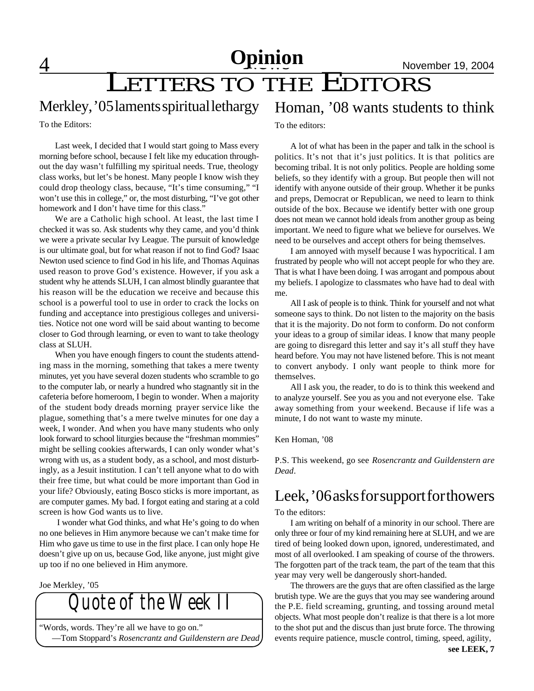# **Opinion** November 19, 2004

# LETTERS TO THE EDITORS

### Merkley, '05 laments spiritual lethargy

To the Editors:

Last week, I decided that I would start going to Mass every morning before school, because I felt like my education throughout the day wasn't fulfilling my spiritual needs. True, theology class works, but let's be honest. Many people I know wish they could drop theology class, because, "It's time consuming," "I won't use this in college," or, the most disturbing, "I've got other homework and I don't have time for this class.'

We are a Catholic high school. At least, the last time I checked it was so. Ask students why they came, and you'd think we were a private secular Ivy League. The pursuit of knowledge is our ultimate goal, but for what reason if not to find God? Isaac Newton used science to find God in his life, and Thomas Aquinas used reason to prove God's existence. However, if you ask a student why he attends SLUH, I can almost blindly guarantee that his reason will be the education we receive and because this school is a powerful tool to use in order to crack the locks on funding and acceptance into prestigious colleges and universities. Notice not one word will be said about wanting to become closer to God through learning, or even to want to take theology class at SLUH.

When you have enough fingers to count the students attending mass in the morning, something that takes a mere twenty minutes, yet you have several dozen students who scramble to go to the computer lab, or nearly a hundred who stagnantly sit in the cafeteria before homeroom, I begin to wonder. When a majority of the student body dreads morning prayer service like the plague, something that's a mere twelve minutes for one day a week, I wonder. And when you have many students who only look forward to school liturgies because the "freshman mommies" might be selling cookies afterwards, I can only wonder what's wrong with us, as a student body, as a school, and most disturbingly, as a Jesuit institution. I can't tell anyone what to do with their free time, but what could be more important than God in your life? Obviously, eating Bosco sticks is more important, as are computer games. My bad. I forgot eating and staring at a cold screen is how God wants us to live.

 I wonder what God thinks, and what He's going to do when no one believes in Him anymore because we can't make time for Him who gave us time to use in the first place. I can only hope He doesn't give up on us, because God, like anyone, just might give up too if no one believed in Him anymore.

Joe Merkley, '05

*Quote of the Week II* "Words, words. They're all we have to go on."

—Tom Stoppard's *Rosencrantz and Guildenstern are Dead*

### Homan, '08 wants students to think

To the editors:

A lot of what has been in the paper and talk in the school is politics. It's not that it's just politics. It is that politics are becoming tribal. It is not only politics. People are holding some beliefs, so they identify with a group. But people then will not identify with anyone outside of their group. Whether it be punks and preps, Democrat or Republican, we need to learn to think outside of the box. Because we identify better with one group does not mean we cannot hold ideals from another group as being important. We need to figure what we believe for ourselves. We need to be ourselves and accept others for being themselves.

I am annoyed with myself because I was hypocritical. I am frustrated by people who will not accept people for who they are. That is what I have been doing. I was arrogant and pompous about my beliefs. I apologize to classmates who have had to deal with me.

All I ask of people is to think. Think for yourself and not what someone says to think. Do not listen to the majority on the basis that it is the majority. Do not form to conform. Do not conform your ideas to a group of similar ideas. I know that many people are going to disregard this letter and say it's all stuff they have heard before. You may not have listened before. This is not meant to convert anybody. I only want people to think more for themselves.

All I ask you, the reader, to do is to think this weekend and to analyze yourself. See you as you and not everyone else. Take away something from your weekend. Because if life was a minute, I do not want to waste my minute.

Ken Homan, '08

P.S. This weekend, go see *Rosencrantz and Guildenstern are Dead*.

### Leek, '06 asks for support for thowers

To the editors:

I am writing on behalf of a minority in our school. There are only three or four of my kind remaining here at SLUH, and we are tired of being looked down upon, ignored, underestimated, and most of all overlooked. I am speaking of course of the throwers. The forgotten part of the track team, the part of the team that this year may very well be dangerously short-handed.

The throwers are the guys that are often classified as the large brutish type. We are the guys that you may see wandering around the P.E. field screaming, grunting, and tossing around metal objects. What most people don't realize is that there is a lot more to the shot put and the discus than just brute force. The throwing events require patience, muscle control, timing, speed, agility,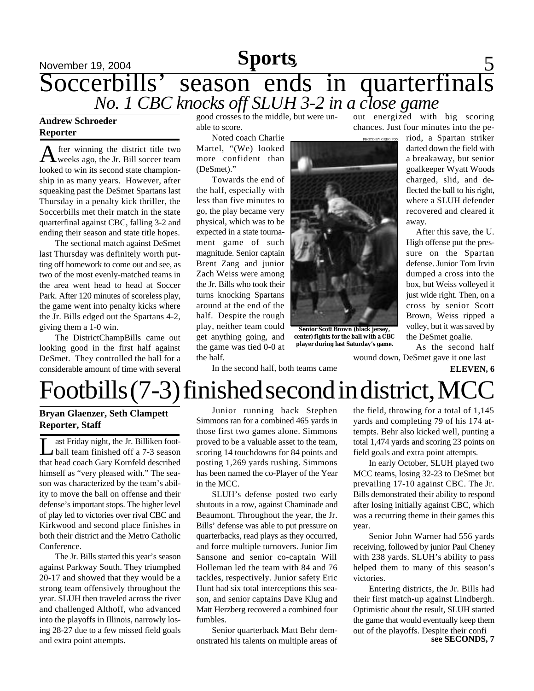### November 19, 2004 **Sports** 5 **Sports** Soccerbills' season ends in quarterfinals *No. 1 CBC knocks off SLUH 3-2 in a close game*

#### **Andrew Schroeder Reporter**

A fter winning the district title two<br>weeks ago, the Jr. Bill soccer team fter winning the district title two looked to win its second state championship in as many years. However, after squeaking past the DeSmet Spartans last Thursday in a penalty kick thriller, the Soccerbills met their match in the state quarterfinal against CBC, falling 3-2 and ending their season and state title hopes.

The sectional match against DeSmet last Thursday was definitely worth putting off homework to come out and see, as two of the most evenly-matched teams in the area went head to head at Soccer Park. After 120 minutes of scoreless play, the game went into penalty kicks where the Jr. Bills edged out the Spartans 4-2, giving them a 1-0 win.

The DistrictChampBills came out looking good in the first half against DeSmet. They controlled the ball for a considerable amount of time with several

good crosses to the middle, but were unable to score.

Noted coach Charlie Martel, "(We) looked more confident than (DeSmet)."

Towards the end of the half, especially with less than five minutes to go, the play became very physical, which was to be expected in a state tournament game of such magnitude. Senior captain Brent Zang and junior Zach Weiss were among the Jr. Bills who took their turns knocking Spartans around at the end of the half. Despite the rough play, neither team could get anything going, and the game was tied 0-0 at the half.



**Senior Scott Brown (black jersey, center) fights for the ball with a CBC player during last Saturday's game.**

out energized with big scoring chances. Just four minutes into the pe-

> riod, a Spartan striker darted down the field with a breakaway, but senior goalkeeper Wyatt Woods charged, slid, and deflected the ball to his right, where a SLUH defender recovered and cleared it away.

> After this save, the U. High offense put the pressure on the Spartan defense. Junior Tom Irvin dumped a cross into the box, but Weiss volleyed it just wide right. Then, on a cross by senior Scott Brown, Weiss ripped a volley, but it was saved by the DeSmet goalie.

As the second half wound down, DeSmet gave it one last

**ELEVEN, 6**

In the second half, both teams came

# $Foot bills (7-3) finished second in district, MC$

#### **Bryan Glaenzer, Seth Clampett Reporter, Staff**

L ast Friday night, the Jr. Billiken football team finished off a 7-3 season that head coach Gary Kornfeld described himself as "very pleased with." The season was characterized by the team's ability to move the ball on offense and their defense's important stops. The higher level of play led to victories over rival CBC and Kirkwood and second place finishes in both their district and the Metro Catholic Conference.

The Jr. Bills started this year's season against Parkway South. They triumphed 20-17 and showed that they would be a strong team offensively throughout the year. SLUH then traveled across the river and challenged Althoff, who advanced into the playoffs in Illinois, narrowly losing 28-27 due to a few missed field goals and extra point attempts.

Junior running back Stephen Simmons ran for a combined 465 yards in those first two games alone. Simmons proved to be a valuable asset to the team, scoring 14 touchdowns for 84 points and posting 1,269 yards rushing. Simmons has been named the co-Player of the Year in the MCC.

SLUH's defense posted two early shutouts in a row, against Chaminade and Beaumont. Throughout the year, the Jr. Bills' defense was able to put pressure on quarterbacks, read plays as they occurred, and force multiple turnovers. Junior Jim Sansone and senior co-captain Will Holleman led the team with 84 and 76 tackles, respectively. Junior safety Eric Hunt had six total interceptions this season, and senior captains Dave Klug and Matt Herzberg recovered a combined four fumbles.

Senior quarterback Matt Behr demonstrated his talents on multiple areas of

the field, throwing for a total of 1,145 yards and completing 79 of his 174 attempts. Behr also kicked well, punting a total 1,474 yards and scoring 23 points on field goals and extra point attempts.

In early October, SLUH played two MCC teams, losing 32-23 to DeSmet but prevailing 17-10 against CBC. The Jr. Bills demonstrated their ability to respond after losing initially against CBC, which was a recurring theme in their games this year.

Senior John Warner had 556 yards receiving, followed by junior Paul Cheney with 238 yards. SLUH's ability to pass helped them to many of this season's victories.

**see SECONDS, 7** Entering districts, the Jr. Bills had their first match-up against Lindbergh. Optimistic about the result, SLUH started the game that would eventually keep them out of the playoffs. Despite their confi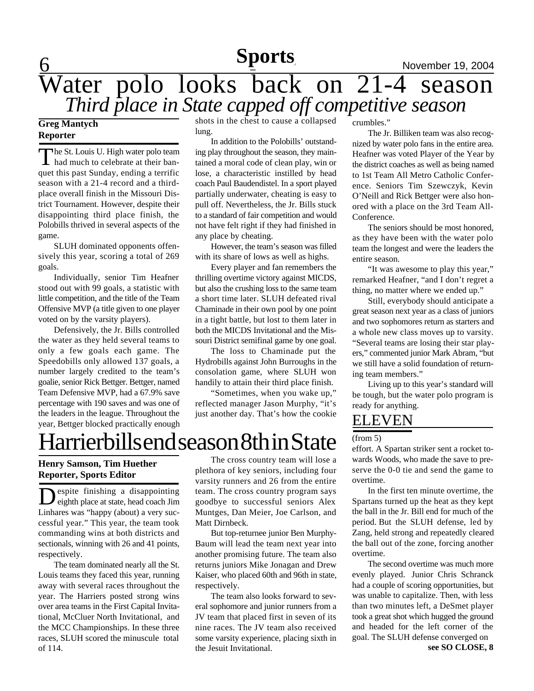## **Sports**

# **Sports** November 19, 2004 Water polo looks back on 21-4 season *Third place in State capped off competitive season*

#### **Greg Mantych Reporter**

The St. Louis U. High water polo team he St. Louis U. High water polo team quet this past Sunday, ending a terrific season with a 21-4 record and a thirdplace overall finish in the Missouri District Tournament. However, despite their disappointing third place finish, the Polobills thrived in several aspects of the game.

SLUH dominated opponents offensively this year, scoring a total of 269 goals.

Individually, senior Tim Heafner stood out with 99 goals, a statistic with little competition, and the title of the Team Offensive MVP (a title given to one player voted on by the varsity players).

Defensively, the Jr. Bills controlled the water as they held several teams to only a few goals each game. The Speedobills only allowed 137 goals, a number largely credited to the team's goalie, senior Rick Bettger. Bettger, named Team Defensive MVP, had a 67.9% save percentage with 190 saves and was one of the leaders in the league. Throughout the year, Bettger blocked practically enough

shots in the chest to cause a collapsed lung.

In addition to the Polobills' outstanding play throughout the season, they maintained a moral code of clean play, win or lose, a characteristic instilled by head coach Paul Baudendistel. In a sport played partially underwater, cheating is easy to pull off. Nevertheless, the Jr. Bills stuck to a standard of fair competition and would not have felt right if they had finished in any place by cheating.

However, the team's season was filled with its share of lows as well as highs.

Every player and fan remembers the thrilling overtime victory against MICDS, but also the crushing loss to the same team a short time later. SLUH defeated rival Chaminade in their own pool by one point in a tight battle, but lost to them later in both the MICDS Invitational and the Missouri District semifinal game by one goal.

The loss to Chaminade put the Hydrobills against John Burroughs in the consolation game, where SLUH won handily to attain their third place finish.

"Sometimes, when you wake up," reflected manager Jason Murphy, "it's just another day. That's how the cookie

# Harrierbills end season 8th in State

### **Henry Samson, Tim Huether Reporter, Sports Editor**

D espite finishing a disappointing eighth place at state, head coach Jim Linhares was "happy (about) a very successful year." This year, the team took commanding wins at both districts and sectionals, winning with 26 and 41 points, respectively.

The team dominated nearly all the St. Louis teams they faced this year, running away with several races throughout the year. The Harriers posted strong wins over area teams in the First Capital Invitational, McCluer North Invitational, and the MCC Championships. In these three races, SLUH scored the minuscule total of 114.

The cross country team will lose a plethora of key seniors, including four varsity runners and 26 from the entire team. The cross country program says goodbye to successful seniors Alex Muntges, Dan Meier, Joe Carlson, and Matt Dirnbeck.

But top-returnee junior Ben Murphy-Baum will lead the team next year into another promising future. The team also returns juniors Mike Jonagan and Drew Kaiser, who placed 60th and 96th in state, respectively.

The team also looks forward to several sophomore and junior runners from a JV team that placed first in seven of its nine races. The JV team also received some varsity experience, placing sixth in the Jesuit Invitational.

crumbles."

The Jr. Billiken team was also recognized by water polo fans in the entire area. Heafner was voted Player of the Year by the district coaches as well as being named to 1st Team All Metro Catholic Conference. Seniors Tim Szewczyk, Kevin O'Neill and Rick Bettger were also honored with a place on the 3rd Team All-Conference.

The seniors should be most honored, as they have been with the water polo team the longest and were the leaders the entire season.

"It was awesome to play this year," remarked Heafner, "and I don't regret a thing, no matter where we ended up."

Still, everybody should anticipate a great season next year as a class of juniors and two sophomores return as starters and a whole new class moves up to varsity. "Several teams are losing their star players," commented junior Mark Abram, "but we still have a solid foundation of returning team members."

Living up to this year's standard will be tough, but the water polo program is ready for anything.

## ELEVEN

#### (from 5)

effort. A Spartan striker sent a rocket towards Woods, who made the save to preserve the 0-0 tie and send the game to overtime.

In the first ten minute overtime, the Spartans turned up the heat as they kept the ball in the Jr. Bill end for much of the period. But the SLUH defense, led by Zang, held strong and repeatedly cleared the ball out of the zone, forcing another overtime.

The second overtime was much more evenly played. Junior Chris Schranck had a couple of scoring opportunities, but was unable to capitalize. Then, with less than two minutes left, a DeSmet player took a great shot which hugged the ground and headed for the left corner of the goal. The SLUH defense converged on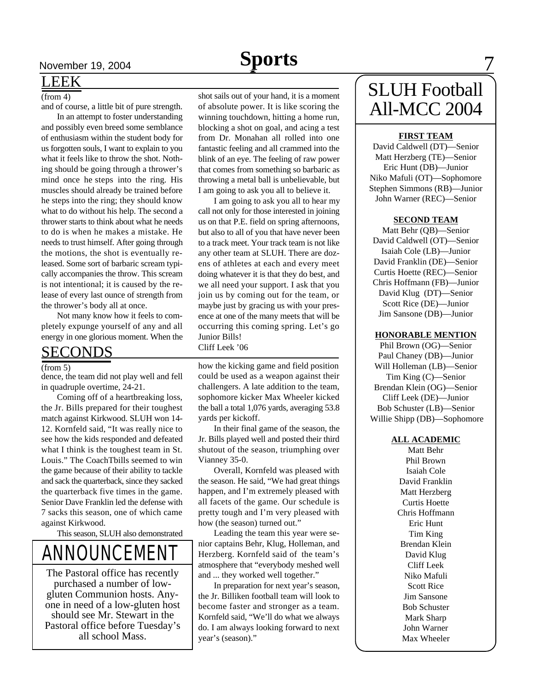### LEEK

#### $(from 4)$

and of course, a little bit of pure strength.

In an attempt to foster understanding and possibly even breed some semblance of enthusiasm within the student body for us forgotten souls, I want to explain to you what it feels like to throw the shot. Nothing should be going through a thrower's mind once he steps into the ring. His muscles should already be trained before he steps into the ring; they should know what to do without his help. The second a thrower starts to think about what he needs to do is when he makes a mistake. He needs to trust himself. After going through the motions, the shot is eventually released. Some sort of barbaric scream typically accompanies the throw. This scream is not intentional; it is caused by the release of every last ounce of strength from the thrower's body all at once.

Not many know how it feels to completely expunge yourself of any and all energy in one glorious moment. When the

### <u>SECONDS</u>

#### (from 5)

dence, the team did not play well and fell in quadruple overtime, 24-21.

Coming off of a heartbreaking loss, the Jr. Bills prepared for their toughest match against Kirkwood. SLUH won 14- 12. Kornfeld said, "It was really nice to see how the kids responded and defeated what I think is the toughest team in St. Louis." The CoachTbills seemed to win the game because of their ability to tackle and sack the quarterback, since they sacked the quarterback five times in the game. Senior Dave Franklin led the defense with 7 sacks this season, one of which came against Kirkwood.

This season, SLUH also demonstrated

# ANNOUNCEMENT

The Pastoral office has recently purchased a number of lowgluten Communion hosts. Anyone in need of a low-gluten host should see Mr. Stewart in the Pastoral office before Tuesday's all school Mass.

shot sails out of your hand, it is a moment of absolute power. It is like scoring the winning touchdown, hitting a home run, blocking a shot on goal, and acing a test from Dr. Monahan all rolled into one fantastic feeling and all crammed into the blink of an eye. The feeling of raw power that comes from something so barbaric as throwing a metal ball is unbelievable, but I am going to ask you all to believe it.

I am going to ask you all to hear my call not only for those interested in joining us on that P.E. field on spring afternoons, but also to all of you that have never been to a track meet. Your track team is not like any other team at SLUH. There are dozens of athletes at each and every meet doing whatever it is that they do best, and we all need your support. I ask that you join us by coming out for the team, or maybe just by gracing us with your presence at one of the many meets that will be occurring this coming spring. Let's go Junior Bills! Cliff Leek '06

how the kicking game and field position could be used as a weapon against their challengers. A late addition to the team, sophomore kicker Max Wheeler kicked the ball a total 1,076 yards, averaging 53.8 yards per kickoff.

In their final game of the season, the Jr. Bills played well and posted their third shutout of the season, triumphing over Vianney 35-0.

Overall, Kornfeld was pleased with the season. He said, "We had great things happen, and I'm extremely pleased with all facets of the game. Our schedule is pretty tough and I'm very pleased with how (the season) turned out."

Leading the team this year were senior captains Behr, Klug, Holleman, and Herzberg. Kornfeld said of the team's atmosphere that "everybody meshed well and ... they worked well together."

In preparation for next year's season, the Jr. Billiken football team will look to become faster and stronger as a team. Kornfeld said, "We'll do what we always do. I am always looking forward to next year's (season)."

# SLUH Football All-MCC 2004

#### **FIRST TEAM**

David Caldwell (DT)—Senior Matt Herzberg (TE)—Senior Eric Hunt (DB)—Junior Niko Mafuli (OT)—Sophomore Stephen Simmons (RB)—Junior John Warner (REC)—Senior

#### **SECOND TEAM**

Matt Behr (QB)—Senior David Caldwell (OT)—Senior Isaiah Cole (LB)—Junior David Franklin (DE)—Senior Curtis Hoette (REC)—Senior Chris Hoffmann (FB)—Junior David Klug (DT)—Senior Scott Rice (DE)—Junior Jim Sansone (DB)—Junior

#### **HONORABLE MENTION**

Phil Brown (OG)—Senior Paul Chaney (DB)—Junior Will Holleman (LB)—Senior Tim King (C)—Senior Brendan Klein (OG)—Senior Cliff Leek (DE)—Junior Bob Schuster (LB)—Senior Willie Shipp (DB)—Sophomore

#### **ALL ACADEMIC**

Matt Behr Phil Brown Isaiah Cole David Franklin Matt Herzberg Curtis Hoette Chris Hoffmann Eric Hunt Tim King Brendan Klein David Klug Cliff Leek Niko Mafuli Scott Rice Jim Sansone Bob Schuster Mark Sharp John Warner Max Wheeler

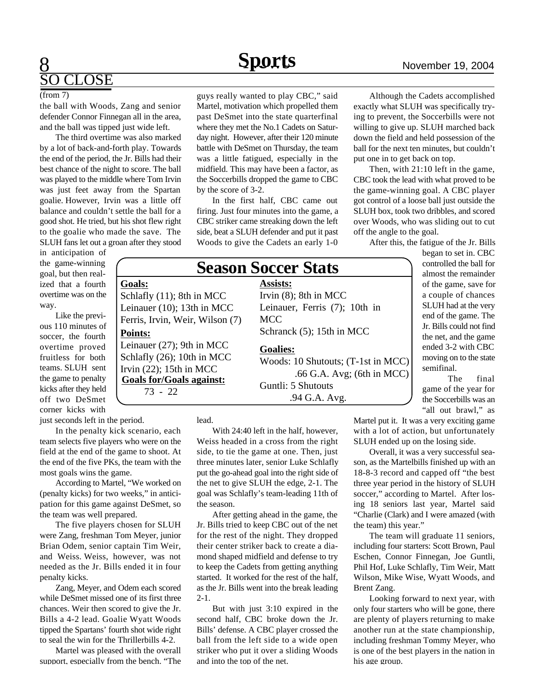## 8  $\overline{\text{OSE}}$

#### (from 7)

the ball with Woods, Zang and senior defender Connor Finnegan all in the area, and the ball was tipped just wide left.

The third overtime was also marked by a lot of back-and-forth play. Towards the end of the period, the Jr. Bills had their best chance of the night to score. The ball was played to the middle where Tom Irvin was just feet away from the Spartan goalie. However, Irvin was a little off balance and couldn't settle the ball for a good shot. He tried, but his shot flew right to the goalie who made the save. The SLUH fans let out a groan after they stood

**Goals:**

in anticipation of the game-winning goal, but then realized that a fourth overtime was on the way.

Like the previous 110 minutes of soccer, the fourth overtime proved fruitless for both teams. SLUH sent the game to penalty kicks after they held off two DeSmet corner kicks with

just seconds left in the period.

In the penalty kick scenario, each team selects five players who were on the field at the end of the game to shoot. At the end of the five PKs, the team with the most goals wins the game.

According to Martel, "We worked on (penalty kicks) for two weeks," in anticipation for this game against DeSmet, so the team was well prepared.

The five players chosen for SLUH were Zang, freshman Tom Meyer, junior Brian Odem, senior captain Tim Weir, and Weiss. Weiss, however, was not needed as the Jr. Bills ended it in four penalty kicks.

Zang, Meyer, and Odem each scored while DeSmet missed one of its first three chances. Weir then scored to give the Jr. Bills a 4-2 lead. Goalie Wyatt Woods tipped the Spartans' fourth shot wide right to seal the win for the Thrillerbills 4-2.

Martel was pleased with the overall support, especially from the bench. "The guys really wanted to play CBC," said Martel, motivation which propelled them past DeSmet into the state quarterfinal where they met the No.1 Cadets on Saturday night. However, after their 120 minute battle with DeSmet on Thursday, the team was a little fatigued, especially in the midfield. This may have been a factor, as the Soccerbills dropped the game to CBC by the score of 3-2.

In the first half, CBC came out firing. Just four minutes into the game, a CBC striker came streaking down the left side, beat a SLUH defender and put it past Woods to give the Cadets an early 1-0

### **Season Soccer Stats**

**Assists:** Irvin (8); 8th in MCC Leinauer, Ferris (7); 10th in **MCC** 

Schranck (5); 15th in MCC

#### **Goalies:**

Woods: 10 Shutouts; (T-1st in MCC) .66 G.A. Avg; (6th in MCC) Guntli: 5 Shutouts .94 G.A. Avg.

Although the Cadets accomplished exactly what SLUH was specifically trying to prevent, the Soccerbills were not willing to give up. SLUH marched back down the field and held possession of the

put one in to get back on top. Then, with 21:10 left in the game, CBC took the lead with what proved to be the game-winning goal. A CBC player got control of a loose ball just outside the SLUH box, took two dribbles, and scored over Woods, who was sliding out to cut off the angle to the goal.

ball for the next ten minutes, but couldn't

After this, the fatigue of the Jr. Bills

began to set in. CBC controlled the ball for almost the remainder of the game, save for a couple of chances SLUH had at the very end of the game. The Jr. Bills could not find the net, and the game ended 3-2 with CBC moving on to the state semifinal.

The final game of the year for the Soccerbills was an "all out brawl," as

Martel put it. It was a very exciting game with a lot of action, but unfortunately SLUH ended up on the losing side.

Overall, it was a very successful season, as the Martelbills finished up with an 18-8-3 record and capped off "the best three year period in the history of SLUH soccer," according to Martel. After losing 18 seniors last year, Martel said "Charlie (Clark) and I were amazed (with the team) this year."

The team will graduate 11 seniors, including four starters: Scott Brown, Paul Eschen, Connor Finnegan, Joe Guntli, Phil Hof, Luke Schlafly, Tim Weir, Matt Wilson, Mike Wise, Wyatt Woods, and Brent Zang.

Looking forward to next year, with only four starters who will be gone, there are plenty of players returning to make another run at the state championship, including freshman Tommy Meyer, who is one of the best players in the nation in his age group.

Ferris, Irvin, Weir, Wilson (7) **Points:** Leinauer (27); 9th in MCC Schlafly (26); 10th in MCC Irvin (22); 15th in MCC **Goals for/Goals against:** 73 - 22

Schlafly (11); 8th in MCC Leinauer (10); 13th in MCC

lead.

With 24:40 left in the half, however, Weiss headed in a cross from the right side, to tie the game at one. Then, just three minutes later, senior Luke Schlafly put the go-ahead goal into the right side of the net to give SLUH the edge, 2-1. The goal was Schlafly's team-leading 11th of the season.

After getting ahead in the game, the Jr. Bills tried to keep CBC out of the net for the rest of the night. They dropped their center striker back to create a diamond shaped midfield and defense to try to keep the Cadets from getting anything started. It worked for the rest of the half, as the Jr. Bills went into the break leading 2-1.

But with just 3:10 expired in the second half, CBC broke down the Jr. Bills' defense. A CBC player crossed the ball from the left side to a wide open striker who put it over a sliding Woods and into the top of the net.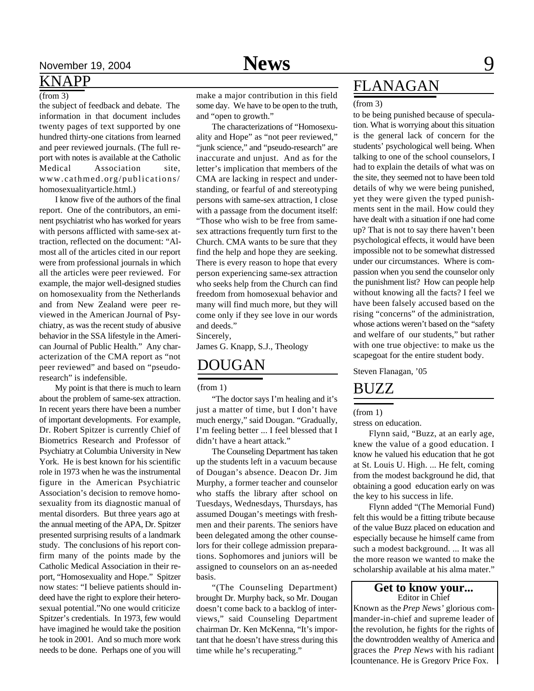#### $(from 3)$

the subject of feedback and debate. The information in that document includes twenty pages of text supported by one hundred thirty-one citations from learned and peer reviewed journals. (The full report with notes is available at the Catholic Medical Association site, www.cathmed.org/publications/ homosexualityarticle.html.)

I know five of the authors of the final report. One of the contributors, an eminent psychiatrist who has worked for years with persons afflicted with same-sex attraction, reflected on the document: "Almost all of the articles cited in our report were from professional journals in which all the articles were peer reviewed. For example, the major well-designed studies on homosexuality from the Netherlands and from New Zealand were peer reviewed in the American Journal of Psychiatry, as was the recent study of abusive behavior in the SSA lifestyle in the American Journal of Public Health." Any characterization of the CMA report as "not peer reviewed" and based on "pseudoresearch" is indefensible.

My point is that there is much to learn about the problem of same-sex attraction. In recent years there have been a number of important developments. For example, Dr. Robert Spitzer is currently Chief of Biometrics Research and Professor of Psychiatry at Columbia University in New York. He is best known for his scientific role in 1973 when he was the instrumental figure in the American Psychiatric Association's decision to remove homosexuality from its diagnostic manual of mental disorders. But three years ago at the annual meeting of the APA, Dr. Spitzer presented surprising results of a landmark study. The conclusions of his report confirm many of the points made by the Catholic Medical Association in their report, "Homosexuality and Hope." Spitzer now states: "I believe patients should indeed have the right to explore their heterosexual potential."No one would criticize Spitzer's credentials. In 1973, few would have imagined he would take the position he took in 2001. And so much more work needs to be done. Perhaps one of you will

make a major contribution in this field some day. We have to be open to the truth, and "open to growth."

The characterizations of "Homosexuality and Hope" as "not peer reviewed," "junk science," and "pseudo-research" are inaccurate and unjust. And as for the letter's implication that members of the CMA are lacking in respect and understanding, or fearful of and stereotyping persons with same-sex attraction, I close with a passage from the document itself: "Those who wish to be free from samesex attractions frequently turn first to the Church. CMA wants to be sure that they find the help and hope they are seeking. There is every reason to hope that every person experiencing same-sex attraction who seeks help from the Church can find freedom from homosexual behavior and many will find much more, but they will come only if they see love in our words and deeds."

Sincerely,

James G. Knapp, S.J., Theology

### DOUGAN

(from 1)

"The doctor says I'm healing and it's just a matter of time, but I don't have much energy," said Dougan. "Gradually, I'm feeling better ... I feel blessed that I didn't have a heart attack."

The Counseling Department has taken up the students left in a vacuum because of Dougan's absence. Deacon Dr. Jim Murphy, a former teacher and counselor who staffs the library after school on Tuesdays, Wednesdays, Thursdays, has assumed Dougan's meetings with freshmen and their parents. The seniors have been delegated among the other counselors for their college admission preparations. Sophomores and juniors will be assigned to counselors on an as-needed basis.

"(The Counseling Department) brought Dr. Murphy back, so Mr. Dougan doesn't come back to a backlog of interviews," said Counseling Department chairman Dr. Ken McKenna, "It's important that he doesn't have stress during this time while he's recuperating."

## <u>KNAPP FLANAGAN</u>

#### (from 3)

to be being punished because of speculation. What is worrying about this situation is the general lack of concern for the students' psychological well being. When talking to one of the school counselors, I had to explain the details of what was on the site, they seemed not to have been told details of why we were being punished, yet they were given the typed punishments sent in the mail. How could they have dealt with a situation if one had come up? That is not to say there haven't been psychological effects, it would have been impossible not to be somewhat distressed under our circumstances. Where is compassion when you send the counselor only the punishment list? How can people help without knowing all the facts? I feel we have been falsely accused based on the rising "concerns" of the administration, whose actions weren't based on the "safety and welfare of our students," but rather with one true objective: to make us the scapegoat for the entire student body.

Steven Flanagan, '05

### BUZZ

(from 1)

stress on education.

Flynn said, "Buzz, at an early age, knew the value of a good education. I know he valued his education that he got at St. Louis U. High. ... He felt, coming from the modest background he did, that obtaining a good education early on was the key to his success in life.

Flynn added "(The Memorial Fund) felt this would be a fitting tribute because of the value Buzz placed on education and especially because he himself came from such a modest background. ... It was all the more reason we wanted to make the scholarship available at his alma mater."

#### **Get to know your...** Editor in Chief

Known as the *Prep News'* glorious commander-in-chief and supreme leader of the revolution, he fights for the rights of the downtrodden wealthy of America and graces the *Prep News* with his radiant countenance. He is Gregory Price Fox.